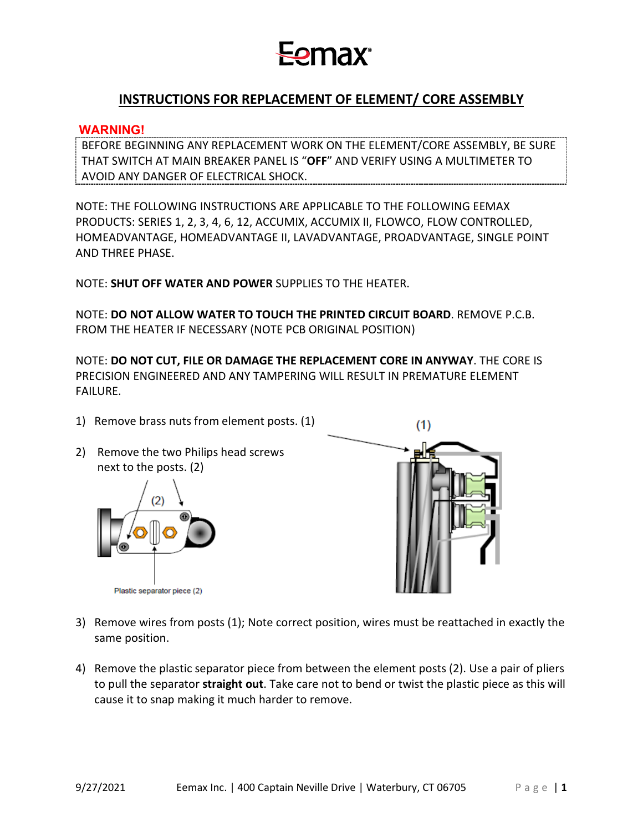## **Fomax**

### **INSTRUCTIONS FOR REPLACEMENT OF ELEMENT/ CORE ASSEMBLY**

#### **WARNING!**

BEFORE BEGINNING ANY REPLACEMENT WORK ON THE ELEMENT/CORE ASSEMBLY, BE SURE THAT SWITCH AT MAIN BREAKER PANEL IS "**OFF**" AND VERIFY USING A MULTIMETER TO AVOID ANY DANGER OF ELECTRICAL SHOCK.

NOTE: THE FOLLOWING INSTRUCTIONS ARE APPLICABLE TO THE FOLLOWING EEMAX PRODUCTS: SERIES 1, 2, 3, 4, 6, 12, ACCUMIX, ACCUMIX II, FLOWCO, FLOW CONTROLLED, HOMEADVANTAGE, HOMEADVANTAGE II, LAVADVANTAGE, PROADVANTAGE, SINGLE POINT AND THREE PHASE.

NOTE: **SHUT OFF WATER AND POWER** SUPPLIES TO THE HEATER.

NOTE: **DO NOT ALLOW WATER TO TOUCH THE PRINTED CIRCUIT BOARD**. REMOVE P.C.B. FROM THE HEATER IF NECESSARY (NOTE PCB ORIGINAL POSITION)

NOTE: **DO NOT CUT, FILE OR DAMAGE THE REPLACEMENT CORE IN ANYWAY**. THE CORE IS PRECISION ENGINEERED AND ANY TAMPERING WILL RESULT IN PREMATURE ELEMENT FAILURE.

- 1) Remove brass nuts from element posts. (1)
- 2) Remove the two Philips head screws next to the posts. (2)





- 3) Remove wires from posts (1); Note correct position, wires must be reattached in exactly the same position.
- 4) Remove the plastic separator piece from between the element posts (2). Use a pair of pliers to pull the separator **straight out**. Take care not to bend or twist the plastic piece as this will cause it to snap making it much harder to remove.